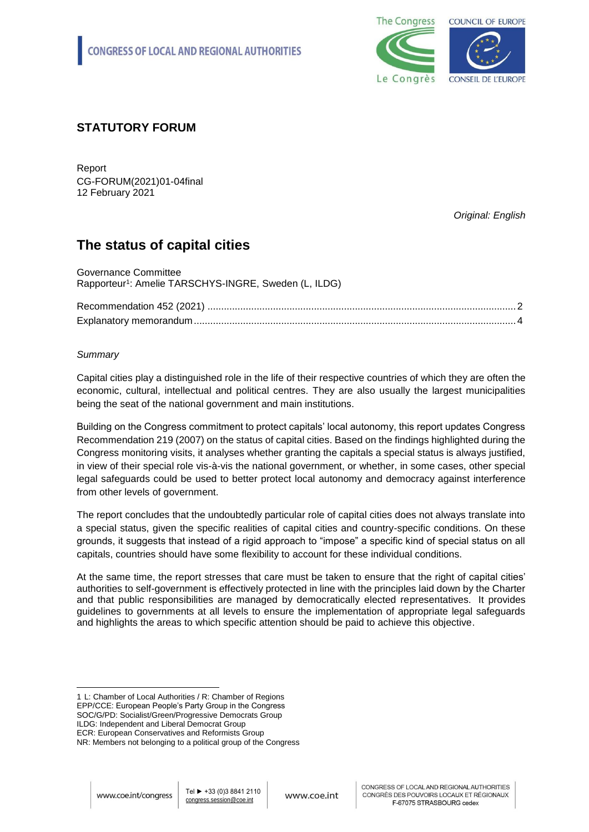

# **STATUTORY FORUM**

Report CG-FORUM(2021)01-04final 12 February 2021

*Original: English*

# **The status of capital cities**

| Governance Committee                                              |  |
|-------------------------------------------------------------------|--|
| Rapporteur <sup>1</sup> : Amelie TARSCHYS-INGRE, Sweden (L, ILDG) |  |
|                                                                   |  |
|                                                                   |  |
|                                                                   |  |

# *Summary*

Capital cities play a distinguished role in the life of their respective countries of which they are often the economic, cultural, intellectual and political centres. They are also usually the largest municipalities being the seat of the national government and main institutions.

Building on the Congress commitment to protect capitals' local autonomy, this report updates Congress Recommendation 219 (2007) on the status of capital cities. Based on the findings highlighted during the Congress monitoring visits, it analyses whether granting the capitals a special status is always justified, in view of their special role vis-à-vis the national government, or whether, in some cases, other special legal safeguards could be used to better protect local autonomy and democracy against interference from other levels of government.

The report concludes that the undoubtedly particular role of capital cities does not always translate into a special status, given the specific realities of capital cities and country-specific conditions. On these grounds, it suggests that instead of a rigid approach to "impose" a specific kind of special status on all capitals, countries should have some flexibility to account for these individual conditions.

At the same time, the report stresses that care must be taken to ensure that the right of capital cities' authorities to self-government is effectively protected in line with the principles laid down by the Charter and that public responsibilities are managed by democratically elected representatives. It provides guidelines to governments at all levels to ensure the implementation of appropriate legal safeguards and highlights the areas to which specific attention should be paid to achieve this objective.

EPP/CCE: European People's Party Group in the Congress SOC/G/PD: Socialist/Green/Progressive Democrats Group

ILDG: Independent and Liberal Democrat Group

<sup>-</sup>1 L: Chamber of Local Authorities / R: Chamber of Regions

ECR: European Conservatives and Reformists Group

NR: Members not belonging to a political group of the Congress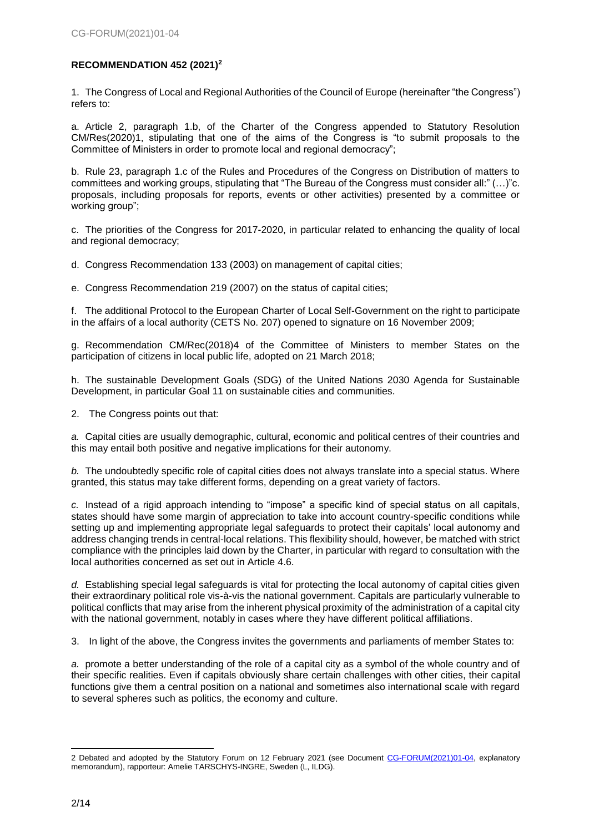# <span id="page-1-0"></span>**RECOMMENDATION 452 (2021)<sup>2</sup>**

1. The Congress of Local and Regional Authorities of the Council of Europe (hereinafter "the Congress") refers to:

a. Article 2, paragraph 1.b, of the Charter of the Congress appended to Statutory Resolution CM/Res(2020)1, stipulating that one of the aims of the Congress is "to submit proposals to the Committee of Ministers in order to promote local and regional democracy";

b. Rule 23, paragraph 1.c of the Rules and Procedures of the Congress on Distribution of matters to committees and working groups, stipulating that "The Bureau of the Congress must consider all:" (…)"c. proposals, including proposals for reports, events or other activities) presented by a committee or working group";

c. The priorities of the Congress for 2017-2020, in particular related to enhancing the quality of local and regional democracy;

d. Congress Recommendation 133 (2003) on management of capital cities;

e. Congress Recommendation 219 (2007) on the status of capital cities;

f. The additional Protocol to the European Charter of Local Self-Government on the right to participate in the affairs of a local authority (CETS No. 207) opened to signature on 16 November 2009;

g. Recommendation CM/Rec(2018)4 of the Committee of Ministers to member States on the participation of citizens in local public life, adopted on 21 March 2018;

h. The sustainable Development Goals (SDG) of the United Nations 2030 Agenda for Sustainable Development, in particular Goal 11 on sustainable cities and communities.

2. The Congress points out that:

*a.* Capital cities are usually demographic, cultural, economic and political centres of their countries and this may entail both positive and negative implications for their autonomy.

*b.* The undoubtedly specific role of capital cities does not always translate into a special status. Where granted, this status may take different forms, depending on a great variety of factors.

*c.* Instead of a rigid approach intending to "impose" a specific kind of special status on all capitals, states should have some margin of appreciation to take into account country-specific conditions while setting up and implementing appropriate legal safeguards to protect their capitals' local autonomy and address changing trends in central-local relations. This flexibility should, however, be matched with strict compliance with the principles laid down by the Charter, in particular with regard to consultation with the local authorities concerned as set out in Article 4.6.

*d.* Establishing special legal safeguards is vital for protecting the local autonomy of capital cities given their extraordinary political role vis-à-vis the national government. Capitals are particularly vulnerable to political conflicts that may arise from the inherent physical proximity of the administration of a capital city with the national government, notably in cases where they have different political affiliations.

3. In light of the above, the Congress invites the governments and parliaments of member States to:

*a.* promote a better understanding of the role of a capital city as a symbol of the whole country and of their specific realities. Even if capitals obviously share certain challenges with other cities, their capital functions give them a central position on a national and sometimes also international scale with regard to several spheres such as politics, the economy and culture.

<sup>2</sup> Debated and adopted by the Statutory Forum on 12 February 2021 (see Document [CG-FORUM\(2021\)01-04,](CG-FORUM(2021)01-04_EN_status%20of%20capital%20cities.docx) explanatory memorandum), rapporteur: Amelie TARSCHYS-INGRE, Sweden (L, ILDG).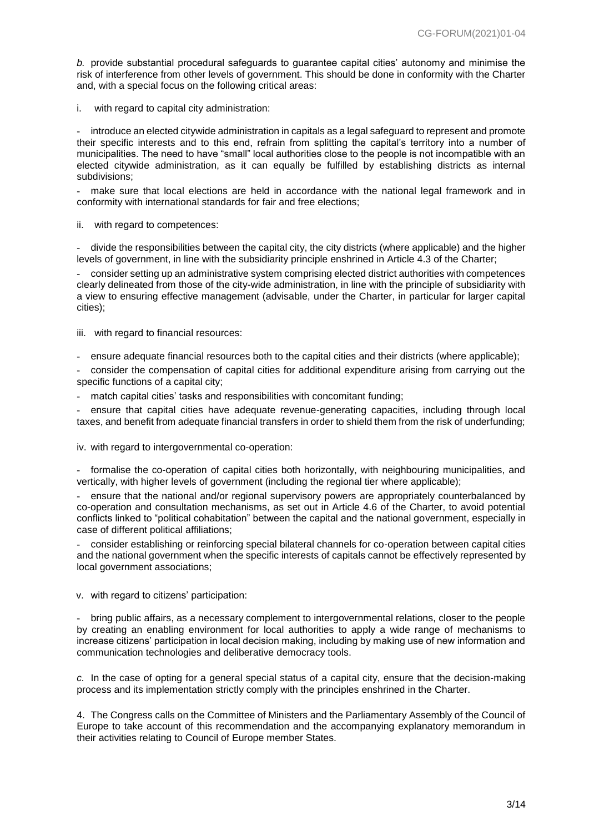*b.* provide substantial procedural safeguards to guarantee capital cities' autonomy and minimise the risk of interference from other levels of government. This should be done in conformity with the Charter and, with a special focus on the following critical areas:

i. with regard to capital city administration:

- introduce an elected citywide administration in capitals as a legal safeguard to represent and promote their specific interests and to this end, refrain from splitting the capital's territory into a number of municipalities. The need to have "small" local authorities close to the people is not incompatible with an elected citywide administration, as it can equally be fulfilled by establishing districts as internal subdivisions;

- make sure that local elections are held in accordance with the national legal framework and in conformity with international standards for fair and free elections;

ii. with regard to competences:

- divide the responsibilities between the capital city, the city districts (where applicable) and the higher levels of government, in line with the subsidiarity principle enshrined in Article 4.3 of the Charter;

- consider setting up an administrative system comprising elected district authorities with competences clearly delineated from those of the city-wide administration, in line with the principle of subsidiarity with a view to ensuring effective management (advisable, under the Charter, in particular for larger capital cities);

iii. with regard to financial resources:

- ensure adequate financial resources both to the capital cities and their districts (where applicable);

- consider the compensation of capital cities for additional expenditure arising from carrying out the specific functions of a capital city;

match capital cities' tasks and responsibilities with concomitant funding;

- ensure that capital cities have adequate revenue-generating capacities, including through local taxes, and benefit from adequate financial transfers in order to shield them from the risk of underfunding;

iv. with regard to intergovernmental co-operation:

- formalise the co-operation of capital cities both horizontally, with neighbouring municipalities, and vertically, with higher levels of government (including the regional tier where applicable);

- ensure that the national and/or regional supervisory powers are appropriately counterbalanced by co-operation and consultation mechanisms, as set out in Article 4.6 of the Charter, to avoid potential conflicts linked to "political cohabitation" between the capital and the national government, especially in case of different political affiliations;

- consider establishing or reinforcing special bilateral channels for co-operation between capital cities and the national government when the specific interests of capitals cannot be effectively represented by local government associations;

v. with regard to citizens' participation:

- bring public affairs, as a necessary complement to intergovernmental relations, closer to the people by creating an enabling environment for local authorities to apply a wide range of mechanisms to increase citizens' participation in local decision making, including by making use of new information and communication technologies and deliberative democracy tools.

*c.* In the case of opting for a general special status of a capital city, ensure that the decision-making process and its implementation strictly comply with the principles enshrined in the Charter.

4. The Congress calls on the Committee of Ministers and the Parliamentary Assembly of the Council of Europe to take account of this recommendation and the accompanying explanatory memorandum in their activities relating to Council of Europe member States.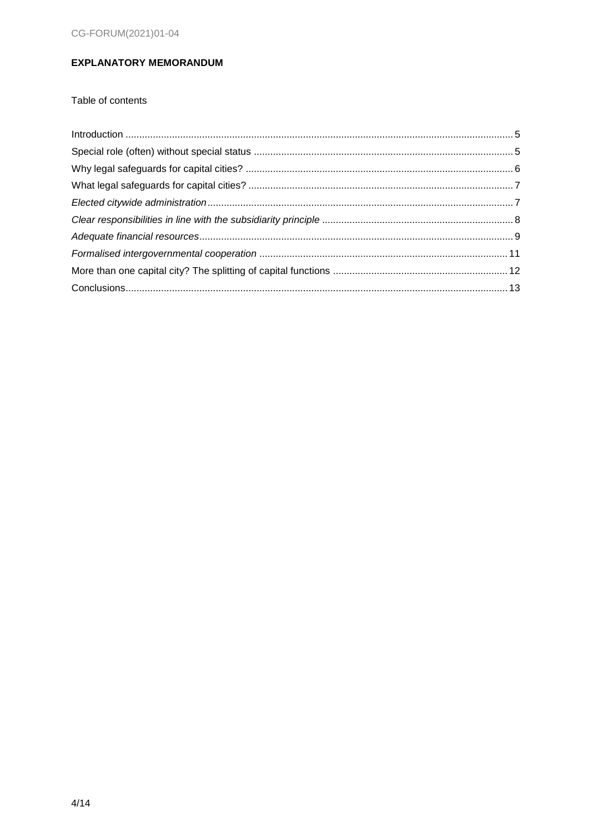# <span id="page-3-0"></span>**EXPLANATORY MEMORANDUM**

Table of contents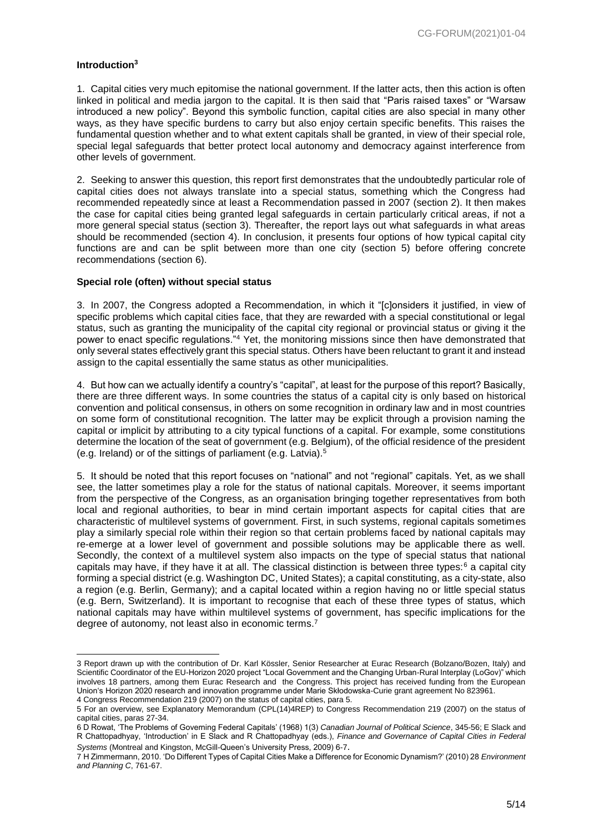#### <span id="page-4-0"></span>**Introduction<sup>3</sup>**

1. Capital cities very much epitomise the national government. If the latter acts, then this action is often linked in political and media jargon to the capital. It is then said that "Paris raised taxes" or "Warsaw introduced a new policy". Beyond this symbolic function, capital cities are also special in many other ways, as they have specific burdens to carry but also enjoy certain specific benefits. This raises the fundamental question whether and to what extent capitals shall be granted, in view of their special role, special legal safeguards that better protect local autonomy and democracy against interference from other levels of government.

2. Seeking to answer this question, this report first demonstrates that the undoubtedly particular role of capital cities does not always translate into a special status, something which the Congress had recommended repeatedly since at least a Recommendation passed in 2007 (section 2). It then makes the case for capital cities being granted legal safeguards in certain particularly critical areas, if not a more general special status (section 3). Thereafter, the report lays out what safeguards in what areas should be recommended (section 4). In conclusion, it presents four options of how typical capital city functions are and can be split between more than one city (section 5) before offering concrete recommendations (section 6).

#### <span id="page-4-1"></span>**Special role (often) without special status**

3. In 2007, the Congress adopted a Recommendation, in which it "[c]onsiders it justified, in view of specific problems which capital cities face, that they are rewarded with a special constitutional or legal status, such as granting the municipality of the capital city regional or provincial status or giving it the power to enact specific regulations."<sup>4</sup> Yet, the monitoring missions since then have demonstrated that only several states effectively grant this special status. Others have been reluctant to grant it and instead assign to the capital essentially the same status as other municipalities.

4. But how can we actually identify a country's "capital", at least for the purpose of this report? Basically, there are three different ways. In some countries the status of a capital city is only based on historical convention and political consensus, in others on some recognition in ordinary law and in most countries on some form of constitutional recognition. The latter may be explicit through a provision naming the capital or implicit by attributing to a city typical functions of a capital. For example, some constitutions determine the location of the seat of government (e.g. Belgium), of the official residence of the president (e.g. Ireland) or of the sittings of parliament (e.g. Latvia).<sup>5</sup>

5. It should be noted that this report focuses on "national" and not "regional" capitals. Yet, as we shall see, the latter sometimes play a role for the status of national capitals. Moreover, it seems important from the perspective of the Congress, as an organisation bringing together representatives from both local and regional authorities, to bear in mind certain important aspects for capital cities that are characteristic of multilevel systems of government. First, in such systems, regional capitals sometimes play a similarly special role within their region so that certain problems faced by national capitals may re-emerge at a lower level of government and possible solutions may be applicable there as well. Secondly, the context of a multilevel system also impacts on the type of special status that national capitals may have, if they have it at all. The classical distinction is between three types:<sup>6</sup> a capital city forming a special district (e.g. Washington DC, United States); a capital constituting, as a city-state, also a region (e.g. Berlin, Germany); and a capital located within a region having no or little special status (e.g. Bern, Switzerland). It is important to recognise that each of these three types of status, which national capitals may have within multilevel systems of government, has specific implications for the degree of autonomy, not least also in economic terms.<sup>7</sup>

<sup>-</sup>3 Report drawn up with the contribution of Dr. Karl Kössler, Senior Researcher at Eurac Research (Bolzano/Bozen, Italy) and Scientific Coordinator of the EU-Horizon 2020 project "Local Government and the Changing Urban-Rural Interplay (LoGov)" which involves 18 partners, among them Eurac Research and the Congress. This project has received funding from the European Union's Horizon 2020 research and innovation programme under Marie Skłodowska-Curie grant agreement No 823961.

<sup>4</sup> Congress Recommendation 219 (2007) on the status of capital cities, para 5.

<sup>5</sup> For an overview, see Explanatory Memorandum (CPL(14)4REP) to Congress Recommendation 219 (2007) on the status of capital cities, paras 27-34.

<sup>6</sup> D Rowat, 'The Problems of Governing Federal Capitals' (1968) 1(3) *Canadian Journal of Political Science*, 345-56; E Slack and R Chattopadhyay, 'Introduction' in E Slack and R Chattopadhyay (eds.), *Finance and Governance of Capital Cities in Federal Systems* (Montreal and Kingston, McGill-Queen's University Press, 2009) 6-7.

<sup>7</sup> H Zimmermann, 2010. 'Do Different Types of Capital Cities Make a Difference for Economic Dynamism?' (2010) 28 *Environment and Planning C*, 761-67.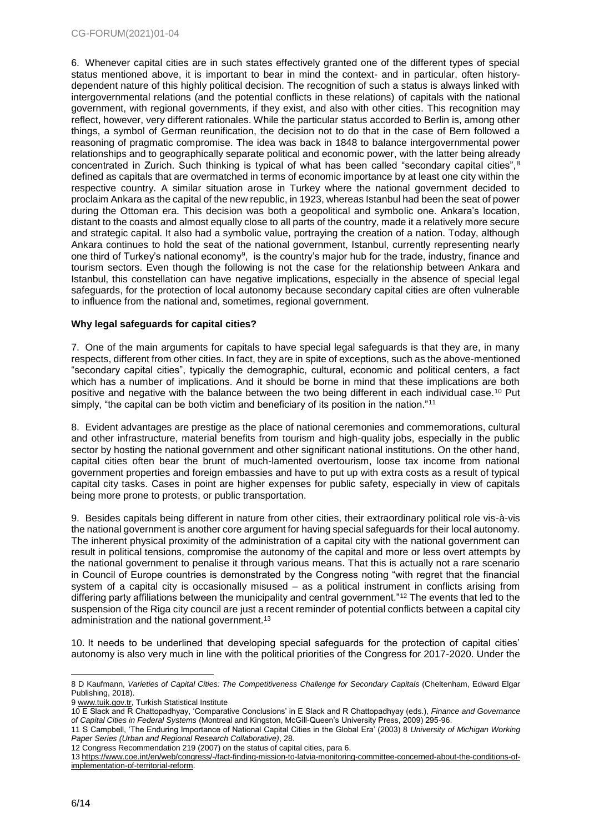6. Whenever capital cities are in such states effectively granted one of the different types of special status mentioned above, it is important to bear in mind the context- and in particular, often historydependent nature of this highly political decision. The recognition of such a status is always linked with intergovernmental relations (and the potential conflicts in these relations) of capitals with the national government, with regional governments, if they exist, and also with other cities. This recognition may reflect, however, very different rationales. While the particular status accorded to Berlin is, among other things, a symbol of German reunification, the decision not to do that in the case of Bern followed a reasoning of pragmatic compromise. The idea was back in 1848 to balance intergovernmental power relationships and to geographically separate political and economic power, with the latter being already concentrated in Zurich. Such thinking is typical of what has been called "secondary capital cities", 8 defined as capitals that are overmatched in terms of economic importance by at least one city within the respective country. A similar situation arose in Turkey where the national government decided to proclaim Ankara as the capital of the new republic, in 1923, whereas Istanbul had been the seat of power during the Ottoman era. This decision was both a geopolitical and symbolic one. Ankara's location, distant to the coasts and almost equally close to all parts of the country, made it a relatively more secure and strategic capital. It also had a symbolic value, portraying the creation of a nation. Today, although Ankara continues to hold the seat of the national government, Istanbul, currently representing nearly one third of Turkey's national economy<sup>9</sup>, is the country's major hub for the trade, industry, finance and tourism sectors. Even though the following is not the case for the relationship between Ankara and Istanbul, this constellation can have negative implications, especially in the absence of special legal safeguards, for the protection of local autonomy because secondary capital cities are often vulnerable to influence from the national and, sometimes, regional government.

## <span id="page-5-0"></span>**Why legal safeguards for capital cities?**

7. One of the main arguments for capitals to have special legal safeguards is that they are, in many respects, different from other cities. In fact, they are in spite of exceptions, such as the above-mentioned "secondary capital cities", typically the demographic, cultural, economic and political centers, a fact which has a number of implications. And it should be borne in mind that these implications are both positive and negative with the balance between the two being different in each individual case.<sup>10</sup> Put simply, "the capital can be both victim and beneficiary of its position in the nation."<sup>11</sup>

8. Evident advantages are prestige as the place of national ceremonies and commemorations, cultural and other infrastructure, material benefits from tourism and high-quality jobs, especially in the public sector by hosting the national government and other significant national institutions. On the other hand, capital cities often bear the brunt of much-lamented overtourism, loose tax income from national government properties and foreign embassies and have to put up with extra costs as a result of typical capital city tasks. Cases in point are higher expenses for public safety, especially in view of capitals being more prone to protests, or public transportation.

9. Besides capitals being different in nature from other cities, their extraordinary political role vis-à-vis the national government is another core argument for having special safeguards for their local autonomy. The inherent physical proximity of the administration of a capital city with the national government can result in political tensions, compromise the autonomy of the capital and more or less overt attempts by the national government to penalise it through various means. That this is actually not a rare scenario in Council of Europe countries is demonstrated by the Congress noting "with regret that the financial system of a capital city is occasionally misused – as a political instrument in conflicts arising from differing party affiliations between the municipality and central government."<sup>12</sup> The events that led to the suspension of the Riga city council are just a recent reminder of potential conflicts between a capital city administration and the national government.<sup>13</sup>

10. It needs to be underlined that developing special safeguards for the protection of capital cities' autonomy is also very much in line with the political priorities of the Congress for 2017-2020. Under the

<sup>-</sup>8 D Kaufmann, *Varieties of Capital Cities: The Competitiveness Challenge for Secondary Capitals* (Cheltenham, Edward Elgar Publishing, 2018).

<sup>9</sup> [www.tuik.gov.tr,](http://www.tuik.gov.tr/) Turkish Statistical Institute

<sup>10</sup> E Slack and R Chattopadhyay, 'Comparative Conclusions' in E Slack and R Chattopadhyay (eds.), *Finance and Governance of Capital Cities in Federal Systems* (Montreal and Kingston, McGill-Queen's University Press, 2009) 295-96.

<sup>11</sup> S Campbell, 'The Enduring Importance of National Capital Cities in the Global Era' (2003) 8 *University of Michigan Working Paper Series (Urban and Regional Research Collaborative)*, 28.

<sup>12</sup> Congress Recommendation 219 (2007) on the status of capital cities, para 6.

<sup>13</sup> [https://www.coe.int/en/web/congress/-/fact-finding-mission-to-latvia-monitoring-committee-concerned-about-the-conditions-of](https://www.coe.int/en/web/congress/-/fact-finding-mission-to-latvia-monitoring-committee-concerned-about-the-conditions-of-implementation-of-territorial-reform)[implementation-of-territorial-reform.](https://www.coe.int/en/web/congress/-/fact-finding-mission-to-latvia-monitoring-committee-concerned-about-the-conditions-of-implementation-of-territorial-reform)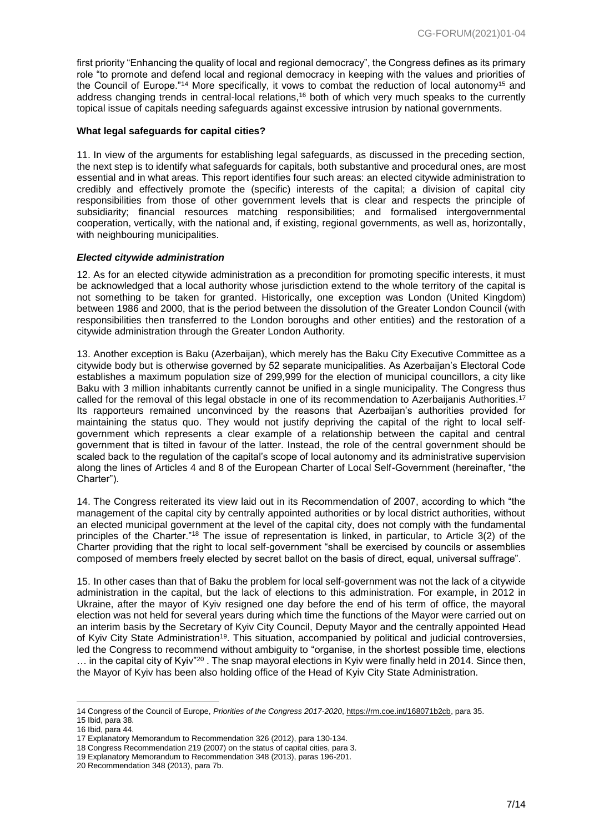first priority "Enhancing the quality of local and regional democracy", the Congress defines as its primary role "to promote and defend local and regional democracy in keeping with the values and priorities of the Council of Europe."<sup>14</sup> More specifically, it vows to combat the reduction of local autonomy<sup>15</sup> and address changing trends in central-local relations,<sup>16</sup> both of which very much speaks to the currently topical issue of capitals needing safeguards against excessive intrusion by national governments.

#### <span id="page-6-0"></span>**What legal safeguards for capital cities?**

11. In view of the arguments for establishing legal safeguards, as discussed in the preceding section, the next step is to identify what safeguards for capitals, both substantive and procedural ones, are most essential and in what areas. This report identifies four such areas: an elected citywide administration to credibly and effectively promote the (specific) interests of the capital; a division of capital city responsibilities from those of other government levels that is clear and respects the principle of subsidiarity; financial resources matching responsibilities; and formalised intergovernmental cooperation, vertically, with the national and, if existing, regional governments, as well as, horizontally, with neighbouring municipalities.

#### <span id="page-6-1"></span>*Elected citywide administration*

12. As for an elected citywide administration as a precondition for promoting specific interests, it must be acknowledged that a local authority whose jurisdiction extend to the whole territory of the capital is not something to be taken for granted. Historically, one exception was London (United Kingdom) between 1986 and 2000, that is the period between the dissolution of the Greater London Council (with responsibilities then transferred to the London boroughs and other entities) and the restoration of a citywide administration through the Greater London Authority.

13. Another exception is Baku (Azerbaijan), which merely has the Baku City Executive Committee as a citywide body but is otherwise governed by 52 separate municipalities. As Azerbaijan's Electoral Code establishes a maximum population size of 299,999 for the election of municipal councillors, a city like Baku with 3 million inhabitants currently cannot be unified in a single municipality. The Congress thus called for the removal of this legal obstacle in one of its recommendation to Azerbaijanis Authorities.<sup>17</sup> Its rapporteurs remained unconvinced by the reasons that Azerbaijan's authorities provided for maintaining the status quo. They would not justify depriving the capital of the right to local selfgovernment which represents a clear example of a relationship between the capital and central government that is tilted in favour of the latter. Instead, the role of the central government should be scaled back to the regulation of the capital's scope of local autonomy and its administrative supervision along the lines of Articles 4 and 8 of the European Charter of Local Self-Government (hereinafter, "the Charter").

14. The Congress reiterated its view laid out in its Recommendation of 2007, according to which "the management of the capital city by centrally appointed authorities or by local district authorities, without an elected municipal government at the level of the capital city, does not comply with the fundamental principles of the Charter."<sup>18</sup> The issue of representation is linked, in particular, to Article 3(2) of the Charter providing that the right to local self-government "shall be exercised by councils or assemblies composed of members freely elected by secret ballot on the basis of direct, equal, universal suffrage".

15. In other cases than that of Baku the problem for local self-government was not the lack of a citywide administration in the capital, but the lack of elections to this administration. For example, in 2012 in Ukraine, after the mayor of Kyiv resigned one day before the end of his term of office, the mayoral election was not held for several years during which time the functions of the Mayor were carried out on an interim basis by the Secretary of Kyiv City Council, Deputy Mayor and the centrally appointed Head of Kyiv City State Administration<sup>19</sup>. This situation, accompanied by political and judicial controversies, led the Congress to recommend without ambiguity to "organise, in the shortest possible time, elections  $\ldots$  in the capital city of Kyiv"<sup>20</sup>. The snap mayoral elections in Kyiv were finally held in 2014. Since then, the Mayor of Kyiv has been also holding office of the Head of Kyiv City State Administration.

<sup>-</sup>14 Congress of the Council of Europe, *Priorities of the Congress 2017-2020*[, https://rm.coe.int/168071b2cb,](https://rm.coe.int/168071b2cb) para 35.

<sup>15</sup> Ibid, para 38.

<sup>16</sup> Ibid, para 44.

<sup>17</sup> Explanatory Memorandum to Recommendation 326 (2012), para 130-134.

<sup>18</sup> Congress Recommendation 219 (2007) on the status of capital cities, para 3.

<sup>19</sup> Explanatory Memorandum to Recommendation 348 (2013), paras 196-201.

<sup>20</sup> Recommendation 348 (2013), para 7b.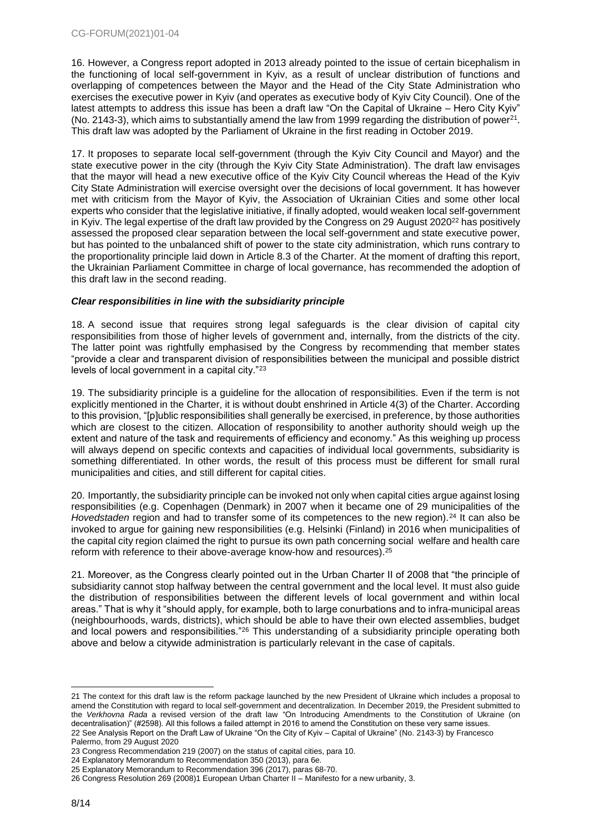16. However, a Congress report adopted in 2013 already pointed to the issue of certain bicephalism in the functioning of local self-government in Kyiv, as a result of unclear distribution of functions and overlapping of competences between the Mayor and the Head of the City State Administration who exercises the executive power in Kyiv (and operates as executive body of Kyiv City Council). One of the latest attempts to address this issue has been a draft law "On the Capital of Ukraine – Hero City Kyiv" (No. 2143-3), which aims to substantially amend the law from 1999 regarding the distribution of power<sup>21</sup>. This draft law was adopted by the Parliament of Ukraine in the first reading in October 2019.

17. It proposes to separate local self-government (through the Kyiv City Council and Mayor) and the state executive power in the city (through the Kyiv City State Administration). The draft law envisages that the mayor will head a new executive office of the Kyiv City Council whereas the Head of the Kyiv City State Administration will exercise oversight over the decisions of local government. It has however met with criticism from the Mayor of Kyiv, the Association of Ukrainian Cities and some other local experts who consider that the legislative initiative, if finally adopted, would weaken local self-government in Kyiv. The legal expertise of the draft law provided by the Congress on 29 August 2020<sup>22</sup> has positively assessed the proposed clear separation between the local self-government and state executive power, but has pointed to the unbalanced shift of power to the state city administration, which runs contrary to the proportionality principle laid down in Article 8.3 of the Charter. At the moment of drafting this report, the Ukrainian Parliament Committee in charge of local governance, has recommended the adoption of this draft law in the second reading.

## <span id="page-7-0"></span>*Clear responsibilities in line with the subsidiarity principle*

18. A second issue that requires strong legal safeguards is the clear division of capital city responsibilities from those of higher levels of government and, internally, from the districts of the city. The latter point was rightfully emphasised by the Congress by recommending that member states "provide a clear and transparent division of responsibilities between the municipal and possible district levels of local government in a capital city."<sup>23</sup>

19. The subsidiarity principle is a guideline for the allocation of responsibilities. Even if the term is not explicitly mentioned in the Charter, it is without doubt enshrined in Article 4(3) of the Charter. According to this provision, "[p]ublic responsibilities shall generally be exercised, in preference, by those authorities which are closest to the citizen. Allocation of responsibility to another authority should weigh up the extent and nature of the task and requirements of efficiency and economy." As this weighing up process will always depend on specific contexts and capacities of individual local governments, subsidiarity is something differentiated. In other words, the result of this process must be different for small rural municipalities and cities, and still different for capital cities.

20. Importantly, the subsidiarity principle can be invoked not only when capital cities argue against losing responsibilities (e.g. Copenhagen (Denmark) in 2007 when it became one of 29 municipalities of the *Hovedstaden* region and had to transfer some of its competences to the new region).<sup>24</sup> It can also be invoked to argue for gaining new responsibilities (e.g. Helsinki (Finland) in 2016 when municipalities of the capital city region claimed the right to pursue its own path concerning social welfare and health care reform with reference to their above-average know-how and resources).<sup>25</sup>

21. Moreover, as the Congress clearly pointed out in the Urban Charter II of 2008 that "the principle of subsidiarity cannot stop halfway between the central government and the local level. It must also guide the distribution of responsibilities between the different levels of local government and within local areas." That is why it "should apply, for example, both to large conurbations and to infra-municipal areas (neighbourhoods, wards, districts), which should be able to have their own elected assemblies, budget and local powers and responsibilities."<sup>26</sup> This understanding of a subsidiarity principle operating both above and below a citywide administration is particularly relevant in the case of capitals.

<sup>21</sup> The context for this draft law is the reform package launched by the new President of Ukraine which includes a proposal to amend the Constitution with regard to local self-government and decentralization. In December 2019, the President submitted to the *Verkhovna Rada* a revised version of the draft law "On Introducing Amendments to the Constitution of Ukraine (on decentralisation)" (#2598). All this follows a failed attempt in 2016 to amend the Constitution on these very same issues. 22 See Analysis Report on the Draft Law of Ukraine "On the City of Kyiv – Capital of Ukraine" (No. 2143-3) by Francesco Palermo, from 29 August 2020

<sup>23</sup> Congress Recommendation 219 (2007) on the status of capital cities, para 10.

<sup>24</sup> Explanatory Memorandum to Recommendation 350 (2013), para 6e.

<sup>25</sup> Explanatory Memorandum to Recommendation 396 (2017), paras 68-70.

<sup>26</sup> Congress Resolution 269 (2008)1 European Urban Charter II – Manifesto for a new urbanity, 3.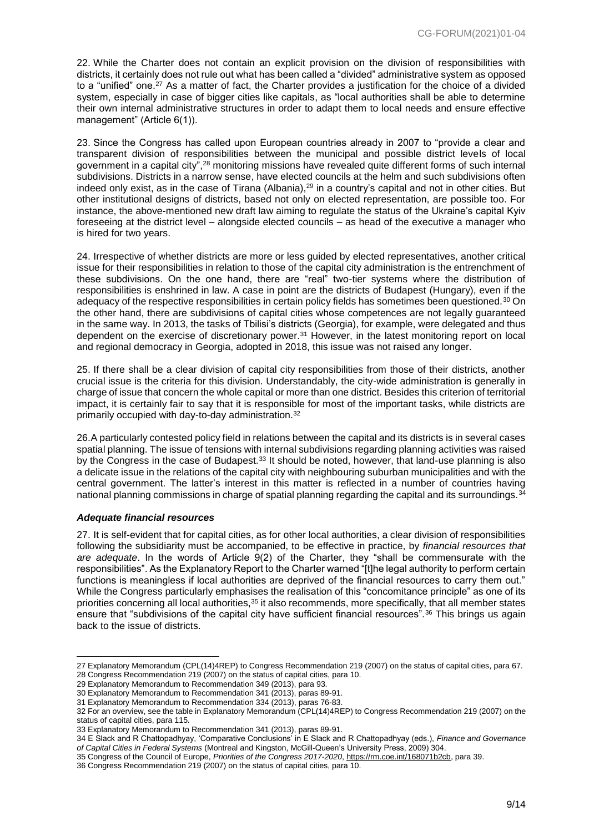22. While the Charter does not contain an explicit provision on the division of responsibilities with districts, it certainly does not rule out what has been called a "divided" administrative system as opposed to a "unified" one.<sup>27</sup> As a matter of fact, the Charter provides a justification for the choice of a divided system, especially in case of bigger cities like capitals, as "local authorities shall be able to determine their own internal administrative structures in order to adapt them to local needs and ensure effective management" (Article 6(1)).

23. Since the Congress has called upon European countries already in 2007 to "provide a clear and transparent division of responsibilities between the municipal and possible district levels of local government in a capital city",<sup>28</sup> monitoring missions have revealed quite different forms of such internal subdivisions. Districts in a narrow sense, have elected councils at the helm and such subdivisions often indeed only exist, as in the case of Tirana (Albania),<sup>29</sup> in a country's capital and not in other cities. But other institutional designs of districts, based not only on elected representation, are possible too. For instance, the above-mentioned new draft law aiming to regulate the status of the Ukraine's capital Kyiv foreseeing at the district level – alongside elected councils – as head of the executive a manager who is hired for two years.

24. Irrespective of whether districts are more or less guided by elected representatives, another critical issue for their responsibilities in relation to those of the capital city administration is the entrenchment of these subdivisions. On the one hand, there are "real" two-tier systems where the distribution of responsibilities is enshrined in law. A case in point are the districts of Budapest (Hungary), even if the adequacy of the respective responsibilities in certain policy fields has sometimes been questioned.<sup>30</sup> On the other hand, there are subdivisions of capital cities whose competences are not legally guaranteed in the same way. In 2013, the tasks of Tbilisi's districts (Georgia), for example, were delegated and thus dependent on the exercise of discretionary power.<sup>31</sup> However, in the latest monitoring report on local and regional democracy in Georgia, adopted in 2018, this issue was not raised any longer.

25. If there shall be a clear division of capital city responsibilities from those of their districts, another crucial issue is the criteria for this division. Understandably, the city-wide administration is generally in charge of issue that concern the whole capital or more than one district. Besides this criterion of territorial impact, it is certainly fair to say that it is responsible for most of the important tasks, while districts are primarily occupied with day-to-day administration.<sup>32</sup>

26.A particularly contested policy field in relations between the capital and its districts is in several cases spatial planning. The issue of tensions with internal subdivisions regarding planning activities was raised by the Congress in the case of Budapest.<sup>33</sup> It should be noted, however, that land-use planning is also a delicate issue in the relations of the capital city with neighbouring suburban municipalities and with the central government. The latter's interest in this matter is reflected in a number of countries having national planning commissions in charge of spatial planning regarding the capital and its surroundings.<sup>34</sup>

#### <span id="page-8-0"></span>*Adequate financial resources*

-

27. It is self-evident that for capital cities, as for other local authorities, a clear division of responsibilities following the subsidiarity must be accompanied, to be effective in practice, by *financial resources that are adequate*. In the words of Article 9(2) of the Charter, they "shall be commensurate with the responsibilities". As the Explanatory Report to the Charter warned "[t]he legal authority to perform certain functions is meaningless if local authorities are deprived of the financial resources to carry them out." While the Congress particularly emphasises the realisation of this "concomitance principle" as one of its priorities concerning all local authorities,<sup>35</sup> it also recommends, more specifically, that all member states ensure that "subdivisions of the capital city have sufficient financial resources".<sup>36</sup> This brings us again back to the issue of districts.

<sup>27</sup> Explanatory Memorandum (CPL(14)4REP) to Congress Recommendation 219 (2007) on the status of capital cities, para 67. 28 Congress Recommendation 219 (2007) on the status of capital cities, para 10.

<sup>29</sup> Explanatory Memorandum to Recommendation 349 (2013), para 93.

<sup>30</sup> Explanatory Memorandum to Recommendation 341 (2013), paras 89-91.

<sup>31</sup> Explanatory Memorandum to Recommendation 334 (2013), paras 76-83.

<sup>32</sup> For an overview, see the table in Explanatory Memorandum (CPL(14)4REP) to Congress Recommendation 219 (2007) on the status of capital cities, para 115.

<sup>33</sup> Explanatory Memorandum to Recommendation 341 (2013), paras 89-91.

<sup>34</sup> E Slack and R Chattopadhyay, 'Comparative Conclusions' in E Slack and R Chattopadhyay (eds.), *Finance and Governance of Capital Cities in Federal Systems* (Montreal and Kingston, McGill-Queen's University Press, 2009) 304.

<sup>35</sup> Congress of the Council of Europe, *Priorities of the Congress 2017-2020*[, https://rm.coe.int/168071b2cb,](https://rm.coe.int/168071b2cb) para 39.

<sup>36</sup> Congress Recommendation 219 (2007) on the status of capital cities, para 10.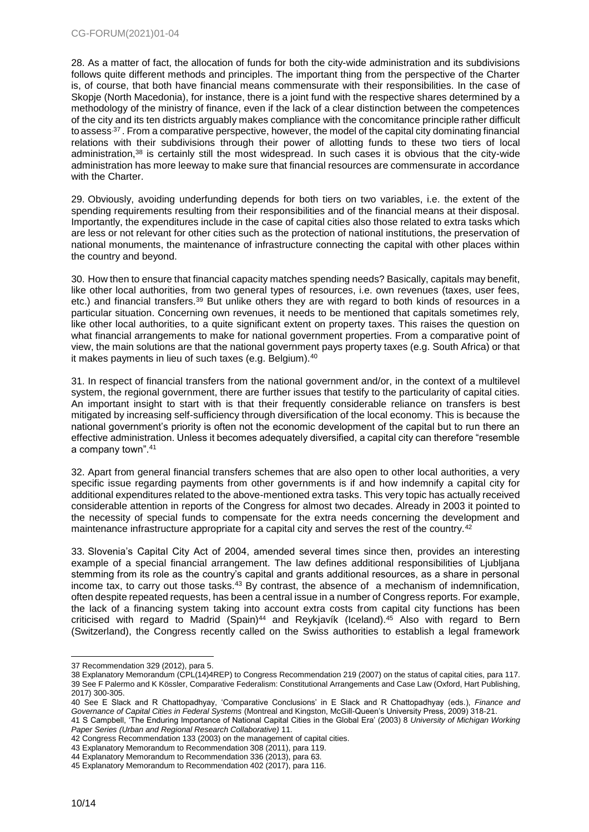28. As a matter of fact, the allocation of funds for both the city-wide administration and its subdivisions follows quite different methods and principles. The important thing from the perspective of the Charter is, of course, that both have financial means commensurate with their responsibilities. In the case of Skopje (North Macedonia), for instance, there is a joint fund with the respective shares determined by a methodology of the ministry of finance, even if the lack of a clear distinction between the competences of the city and its ten districts arguably makes compliance with the concomitance principle rather difficult to assess<sup>.37</sup> . From a comparative perspective, however, the model of the capital city dominating financial relations with their subdivisions through their power of allotting funds to these two tiers of local administration,<sup>38</sup> is certainly still the most widespread. In such cases it is obvious that the city-wide administration has more leeway to make sure that financial resources are commensurate in accordance with the Charter.

29. Obviously, avoiding underfunding depends for both tiers on two variables, i.e. the extent of the spending requirements resulting from their responsibilities and of the financial means at their disposal. Importantly, the expenditures include in the case of capital cities also those related to extra tasks which are less or not relevant for other cities such as the protection of national institutions, the preservation of national monuments, the maintenance of infrastructure connecting the capital with other places within the country and beyond.

30. How then to ensure that financial capacity matches spending needs? Basically, capitals may benefit, like other local authorities, from two general types of resources, i.e. own revenues (taxes, user fees, etc.) and financial transfers.<sup>39</sup> But unlike others they are with regard to both kinds of resources in a particular situation. Concerning own revenues, it needs to be mentioned that capitals sometimes rely, like other local authorities, to a quite significant extent on property taxes. This raises the question on what financial arrangements to make for national government properties. From a comparative point of view, the main solutions are that the national government pays property taxes (e.g. South Africa) or that it makes payments in lieu of such taxes (e.g. Belgium).<sup>40</sup>

31. In respect of financial transfers from the national government and/or, in the context of a multilevel system, the regional government, there are further issues that testify to the particularity of capital cities. An important insight to start with is that their frequently considerable reliance on transfers is best mitigated by increasing self-sufficiency through diversification of the local economy. This is because the national government's priority is often not the economic development of the capital but to run there an effective administration. Unless it becomes adequately diversified, a capital city can therefore "resemble a company town".<sup>41</sup>

32. Apart from general financial transfers schemes that are also open to other local authorities, a very specific issue regarding payments from other governments is if and how indemnify a capital city for additional expenditures related to the above-mentioned extra tasks. This very topic has actually received considerable attention in reports of the Congress for almost two decades. Already in 2003 it pointed to the necessity of special funds to compensate for the extra needs concerning the development and maintenance infrastructure appropriate for a capital city and serves the rest of the country.<sup>42</sup>

33. Slovenia's Capital City Act of 2004, amended several times since then, provides an interesting example of a special financial arrangement. The law defines additional responsibilities of Ljubljana stemming from its role as the country's capital and grants additional resources, as a share in personal income tax, to carry out those tasks. $43$  By contrast, the absence of a mechanism of indemnification, often despite repeated requests, has been a central issue in a number of Congress reports. For example, the lack of a financing system taking into account extra costs from capital city functions has been criticised with regard to Madrid (Spain)<sup>44</sup> and Reykjavík (Iceland).<sup>45</sup> Also with regard to Bern (Switzerland), the Congress recently called on the Swiss authorities to establish a legal framework

*Paper Series (Urban and Regional Research Collaborative)* 11.

<sup>37</sup> Recommendation 329 (2012), para 5.

<sup>38</sup> Explanatory Memorandum (CPL(14)4REP) to Congress Recommendation 219 (2007) on the status of capital cities, para 117. 39 See F Palermo and K Kössler, Comparative Federalism: Constitutional Arrangements and Case Law (Oxford, Hart Publishing, 2017) 300-305.

<sup>40</sup> See E Slack and R Chattopadhyay, 'Comparative Conclusions' in E Slack and R Chattopadhyay (eds.), *Finance and Governance of Capital Cities in Federal Systems* (Montreal and Kingston, McGill-Queen's University Press, 2009) 318-21. 41 S Campbell, 'The Enduring Importance of National Capital Cities in the Global Era' (2003) 8 *University of Michigan Working* 

<sup>42</sup> Congress Recommendation 133 (2003) on the management of capital cities.

<sup>43</sup> Explanatory Memorandum to Recommendation 308 (2011), para 119.

<sup>44</sup> Explanatory Memorandum to Recommendation 336 (2013), para 63.

<sup>45</sup> Explanatory Memorandum to Recommendation 402 (2017), para 116.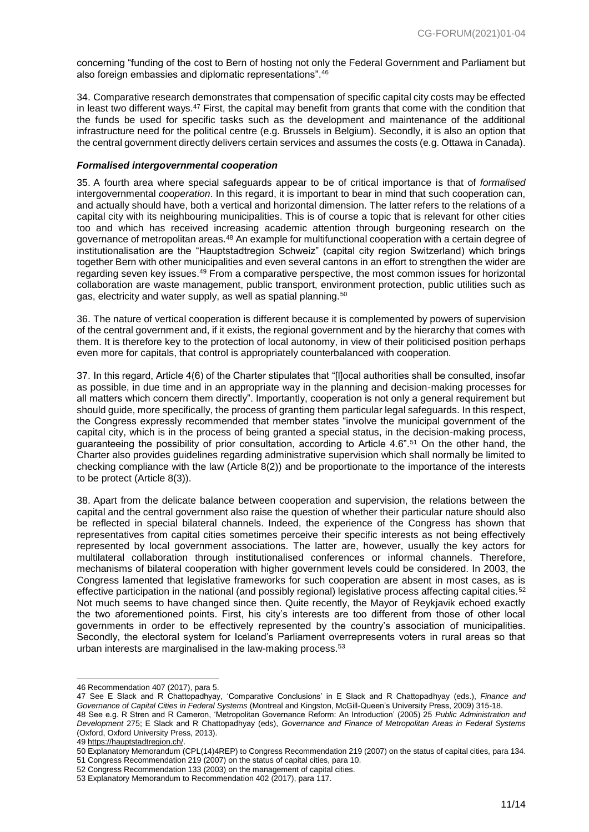concerning "funding of the cost to Bern of hosting not only the Federal Government and Parliament but also foreign embassies and diplomatic representations".<sup>46</sup>

34. Comparative research demonstrates that compensation of specific capital city costs may be effected in least two different ways.<sup>47</sup> First, the capital may benefit from grants that come with the condition that the funds be used for specific tasks such as the development and maintenance of the additional infrastructure need for the political centre (e.g. Brussels in Belgium). Secondly, it is also an option that the central government directly delivers certain services and assumes the costs (e.g. Ottawa in Canada).

#### <span id="page-10-0"></span>*Formalised intergovernmental cooperation*

35. A fourth area where special safeguards appear to be of critical importance is that of *formalised*  intergovernmental *cooperation*. In this regard, it is important to bear in mind that such cooperation can, and actually should have, both a vertical and horizontal dimension. The latter refers to the relations of a capital city with its neighbouring municipalities. This is of course a topic that is relevant for other cities too and which has received increasing academic attention through burgeoning research on the governance of metropolitan areas.<sup>48</sup> An example for multifunctional cooperation with a certain degree of institutionalisation are the "Hauptstadtregion Schweiz" (capital city region Switzerland) which brings together Bern with other municipalities and even several cantons in an effort to strengthen the wider are regarding seven key issues.<sup>49</sup> From a comparative perspective, the most common issues for horizontal collaboration are waste management, public transport, environment protection, public utilities such as gas, electricity and water supply, as well as spatial planning.<sup>50</sup>

36. The nature of vertical cooperation is different because it is complemented by powers of supervision of the central government and, if it exists, the regional government and by the hierarchy that comes with them. It is therefore key to the protection of local autonomy, in view of their politicised position perhaps even more for capitals, that control is appropriately counterbalanced with cooperation.

37. In this regard, Article 4(6) of the Charter stipulates that "[l]ocal authorities shall be consulted, insofar as possible, in due time and in an appropriate way in the planning and decision-making processes for all matters which concern them directly". Importantly, cooperation is not only a general requirement but should guide, more specifically, the process of granting them particular legal safeguards. In this respect, the Congress expressly recommended that member states "involve the municipal government of the capital city, which is in the process of being granted a special status, in the decision-making process, guaranteeing the possibility of prior consultation, according to Article 4.6".<sup>51</sup> On the other hand, the Charter also provides guidelines regarding administrative supervision which shall normally be limited to checking compliance with the law (Article 8(2)) and be proportionate to the importance of the interests to be protect (Article 8(3)).

38. Apart from the delicate balance between cooperation and supervision, the relations between the capital and the central government also raise the question of whether their particular nature should also be reflected in special bilateral channels. Indeed, the experience of the Congress has shown that representatives from capital cities sometimes perceive their specific interests as not being effectively represented by local government associations. The latter are, however, usually the key actors for multilateral collaboration through institutionalised conferences or informal channels. Therefore, mechanisms of bilateral cooperation with higher government levels could be considered. In 2003, the Congress lamented that legislative frameworks for such cooperation are absent in most cases, as is effective participation in the national (and possibly regional) legislative process affecting capital cities.<sup>52</sup> Not much seems to have changed since then. Quite recently, the Mayor of Reykjavik echoed exactly the two aforementioned points. First, his city's interests are too different from those of other local governments in order to be effectively represented by the country's association of municipalities. Secondly, the electoral system for Iceland's Parliament overrepresents voters in rural areas so that urban interests are marginalised in the law-making process.<sup>53</sup>

<sup>46</sup> Recommendation 407 (2017), para 5.

<sup>47</sup> See E Slack and R Chattopadhyay, 'Comparative Conclusions' in E Slack and R Chattopadhyay (eds.), *Finance and Governance of Capital Cities in Federal Systems* (Montreal and Kingston, McGill-Queen's University Press, 2009) 315-18. 48 See e.g. R Stren and R Cameron, 'Metropolitan Governance Reform: An Introduction' (2005) 25 *Public Administration and* 

*Development* 275; E Slack and R Chattopadhyay (eds), *Governance and Finance of Metropolitan Areas in Federal Systems* (Oxford, Oxford University Press, 2013).

<sup>49</sup> [https://hauptstadtregion.ch/.](https://hauptstadtregion.ch/)

<sup>50</sup> Explanatory Memorandum (CPL(14)4REP) to Congress Recommendation 219 (2007) on the status of capital cities, para 134. 51 Congress Recommendation 219 (2007) on the status of capital cities, para 10.

<sup>52</sup> Congress Recommendation 133 (2003) on the management of capital cities.

<sup>53</sup> Explanatory Memorandum to Recommendation 402 (2017), para 117.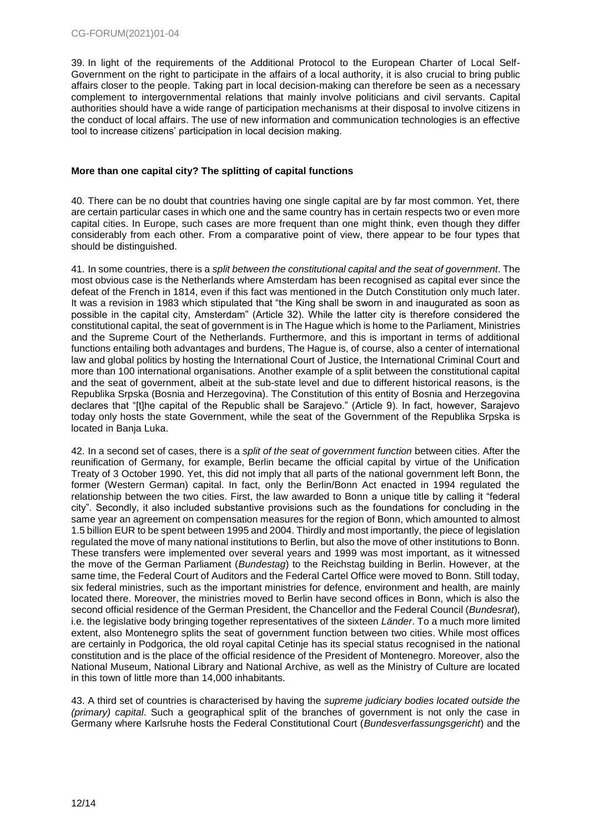39. In light of the requirements of the Additional Protocol to the European Charter of Local Self-Government on the right to participate in the affairs of a local authority, it is also crucial to bring public affairs closer to the people. Taking part in local decision-making can therefore be seen as a necessary complement to intergovernmental relations that mainly involve politicians and civil servants. Capital authorities should have a wide range of participation mechanisms at their disposal to involve citizens in the conduct of local affairs. The use of new information and communication technologies is an effective tool to increase citizens' participation in local decision making.

## <span id="page-11-0"></span>**More than one capital city? The splitting of capital functions**

40. There can be no doubt that countries having one single capital are by far most common. Yet, there are certain particular cases in which one and the same country has in certain respects two or even more capital cities. In Europe, such cases are more frequent than one might think, even though they differ considerably from each other. From a comparative point of view, there appear to be four types that should be distinguished.

41. In some countries, there is a *split between the constitutional capital and the seat of government*. The most obvious case is the Netherlands where Amsterdam has been recognised as capital ever since the defeat of the French in 1814, even if this fact was mentioned in the Dutch Constitution only much later. It was a revision in 1983 which stipulated that "the King shall be sworn in and inaugurated as soon as possible in the capital city, Amsterdam" (Article 32). While the latter city is therefore considered the constitutional capital, the seat of government is in The Hague which is home to the Parliament, Ministries and the Supreme Court of the Netherlands. Furthermore, and this is important in terms of additional functions entailing both advantages and burdens, The Hague is, of course, also a center of international law and global politics by hosting the International Court of Justice, the International Criminal Court and more than 100 international organisations. Another example of a split between the constitutional capital and the seat of government, albeit at the sub-state level and due to different historical reasons, is the Republika Srpska (Bosnia and Herzegovina). The Constitution of this entity of Bosnia and Herzegovina declares that "[t]he capital of the Republic shall be Sarajevo." (Article 9). In fact, however, Sarajevo today only hosts the state Government, while the seat of the Government of the Republika Srpska is located in Banja Luka.

42. In a second set of cases, there is a *split of the seat of government function* between cities. After the reunification of Germany, for example, Berlin became the official capital by virtue of the Unification Treaty of 3 October 1990. Yet, this did not imply that all parts of the national government left Bonn, the former (Western German) capital. In fact, only the Berlin/Bonn Act enacted in 1994 regulated the relationship between the two cities. First, the law awarded to Bonn a unique title by calling it "federal city". Secondly, it also included substantive provisions such as the foundations for concluding in the same year an agreement on compensation measures for the region of Bonn, which amounted to almost 1.5 billion EUR to be spent between 1995 and 2004. Thirdly and most importantly, the piece of legislation regulated the move of many national institutions to Berlin, but also the move of other institutions to Bonn. These transfers were implemented over several years and 1999 was most important, as it witnessed the move of the German Parliament (*Bundestag*) to the Reichstag building in Berlin. However, at the same time, the Federal Court of Auditors and the Federal Cartel Office were moved to Bonn. Still today, six federal ministries, such as the important ministries for defence, environment and health, are mainly located there. Moreover, the ministries moved to Berlin have second offices in Bonn, which is also the second official residence of the German President, the Chancellor and the Federal Council (*Bundesrat*), i.e. the legislative body bringing together representatives of the sixteen *Länder*. To a much more limited extent, also Montenegro splits the seat of government function between two cities. While most offices are certainly in Podgorica, the old royal capital Cetinje has its special status recognised in the national constitution and is the place of the official residence of the President of Montenegro. Moreover, also the National Museum, National Library and National Archive, as well as the Ministry of Culture are located in this town of little more than 14,000 inhabitants.

43. A third set of countries is characterised by having the *supreme judiciary bodies located outside the (primary) capital*. Such a geographical split of the branches of government is not only the case in Germany where Karlsruhe hosts the Federal Constitutional Court (*Bundesverfassungsgericht*) and the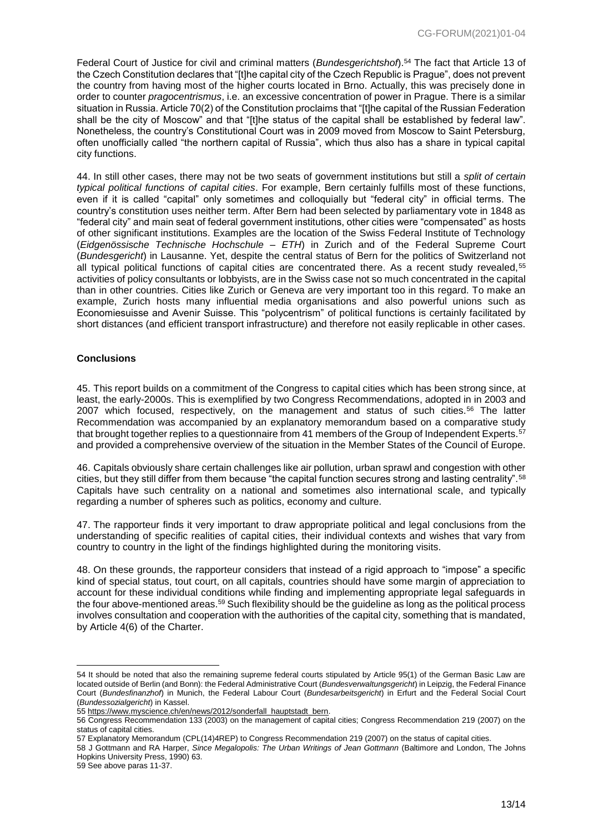Federal Court of Justice for civil and criminal matters (*Bundesgerichtshof*).<sup>54</sup> The fact that Article 13 of the Czech Constitution declares that "[t]he capital city of the Czech Republic is Prague", does not prevent the country from having most of the higher courts located in Brno. Actually, this was precisely done in order to counter *pragocentrismus*, i.e. an excessive concentration of power in Prague. There is a similar situation in Russia. Article 70(2) of the Constitution proclaims that "[t]he capital of the Russian Federation shall be the city of Moscow" and that "[t]he status of the capital shall be established by federal law". Nonetheless, the country's Constitutional Court was in 2009 moved from Moscow to Saint Petersburg, often unofficially called "the northern capital of Russia", which thus also has a share in typical capital city functions.

44. In still other cases, there may not be two seats of government institutions but still a *split of certain typical political functions of capital cities*. For example, Bern certainly fulfills most of these functions, even if it is called "capital" only sometimes and colloquially but "federal city" in official terms. The country's constitution uses neither term. After Bern had been selected by parliamentary vote in 1848 as "federal city" and main seat of federal government institutions, other cities were "compensated" as hosts of other significant institutions. Examples are the location of the Swiss Federal Institute of Technology (*Eidgenössische Technische Hochschule – ETH*) in Zurich and of the Federal Supreme Court (*Bundesgericht*) in Lausanne. Yet, despite the central status of Bern for the politics of Switzerland not all typical political functions of capital cities are concentrated there. As a recent study revealed, 55 activities of policy consultants or lobbyists, are in the Swiss case not so much concentrated in the capital than in other countries. Cities like Zurich or Geneva are very important too in this regard. To make an example, Zurich hosts many influential media organisations and also powerful unions such as Economiesuisse and Avenir Suisse. This "polycentrism" of political functions is certainly facilitated by short distances (and efficient transport infrastructure) and therefore not easily replicable in other cases.

#### <span id="page-12-0"></span>**Conclusions**

45. This report builds on a commitment of the Congress to capital cities which has been strong since, at least, the early-2000s. This is exemplified by two Congress Recommendations, adopted in in 2003 and 2007 which focused, respectively, on the management and status of such cities.<sup>56</sup> The latter Recommendation was accompanied by an explanatory memorandum based on a comparative study that brought together replies to a questionnaire from 41 members of the Group of Independent Experts.<sup>57</sup> and provided a comprehensive overview of the situation in the Member States of the Council of Europe.

46. Capitals obviously share certain challenges like air pollution, urban sprawl and congestion with other cities, but they still differ from them because "the capital function secures strong and lasting centrality".<sup>58</sup> Capitals have such centrality on a national and sometimes also international scale, and typically regarding a number of spheres such as politics, economy and culture.

47. The rapporteur finds it very important to draw appropriate political and legal conclusions from the understanding of specific realities of capital cities, their individual contexts and wishes that vary from country to country in the light of the findings highlighted during the monitoring visits.

48. On these grounds, the rapporteur considers that instead of a rigid approach to "impose" a specific kind of special status, tout court, on all capitals, countries should have some margin of appreciation to account for these individual conditions while finding and implementing appropriate legal safeguards in the four above-mentioned areas.<sup>59</sup> Such flexibility should be the guideline as long as the political process involves consultation and cooperation with the authorities of the capital city, something that is mandated, by Article 4(6) of the Charter.

<sup>54</sup> It should be noted that also the remaining supreme federal courts stipulated by Article 95(1) of the German Basic Law are located outside of Berlin (and Bonn): the Federal Administrative Court (*Bundesverwaltungsgericht*) in Leipzig, the Federal Finance Court (*Bundesfinanzhof*) in Munich, the Federal Labour Court (*Bundesarbeitsgericht*) in Erfurt and the Federal Social Court (*Bundessozialgericht*) in Kassel.

<sup>55</sup> [https://www.myscience.ch/en/news/2012/sonderfall\\_hauptstadt\\_bern.](https://www.myscience.ch/en/news/2012/sonderfall_hauptstadt_bern)

<sup>56</sup> Congress Recommendation 133 (2003) on the management of capital cities; Congress Recommendation 219 (2007) on the status of capital cities.

<sup>57</sup> Explanatory Memorandum (CPL(14)4REP) to Congress Recommendation 219 (2007) on the status of capital cities.

<sup>58</sup> J Gottmann and RA Harper, *Since Megalopolis: The Urban Writings of Jean Gottmann* (Baltimore and London, The Johns Hopkins University Press, 1990) 63.

<sup>59</sup> See above paras 11-37.